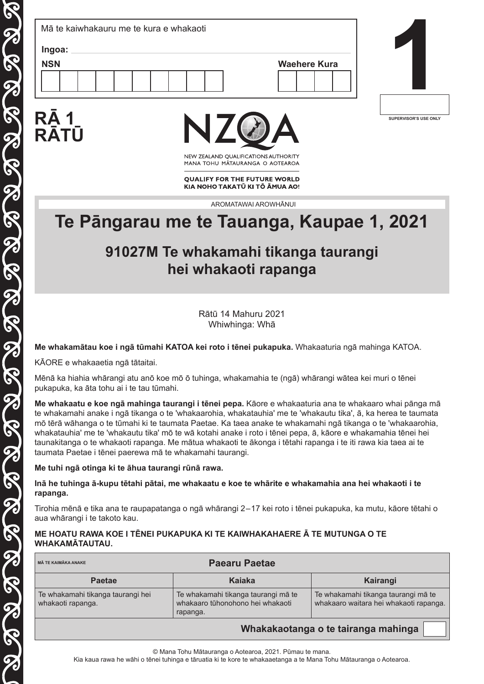| $\overline{\mathcal{C}}$ |  |
|--------------------------|--|
|                          |  |
|                          |  |
|                          |  |
|                          |  |
|                          |  |
|                          |  |
|                          |  |
|                          |  |
| $\overline{\mathbf{a}}$  |  |
|                          |  |
|                          |  |
|                          |  |
|                          |  |
|                          |  |
|                          |  |
|                          |  |
|                          |  |
|                          |  |
|                          |  |
|                          |  |
|                          |  |
| $\overline{\mathcal{L}}$ |  |
|                          |  |
| ֧֖֝֝֝֝֝ <b>֟</b>         |  |
|                          |  |
|                          |  |
|                          |  |
|                          |  |
|                          |  |
| $\overline{\ }$          |  |
|                          |  |
|                          |  |
|                          |  |
|                          |  |
|                          |  |
|                          |  |
| ŀ                        |  |

**RĀ 1 RĀTŪ**

| Ingoa:<br><b>NSN</b><br><b>Waehere Kura</b> | Mā te kaiwhakauru me te kura e whakaoti |  |
|---------------------------------------------|-----------------------------------------|--|
|                                             |                                         |  |
|                                             |                                         |  |
|                                             |                                         |  |



**SUPERVISOR'S USE ONLY**

| NEW ZEALAND QUALIFICATIONS AUTHORITY |  |
|--------------------------------------|--|

 $\blacksquare$ 

MANA TOHU MATAURANGA O AOTEAROA **OUALIFY FOR THE FUTURE WORLD** 

KIA NOHO TAKATŪ KI TŌ ĀMUA AO!

AROMATAWAI AROWHĀNUI

# **Te Pāngarau me te Tauanga, Kaupae 1, 2021**

# **91027M Te whakamahi tikanga taurangi hei whakaoti rapanga**

Rātū 14 Mahuru 2021 Whiwhinga: Whā

**Me whakamātau koe i ngā tūmahi KATOA kei roto i tēnei pukapuka.** Whakaaturia ngā mahinga KATOA.

KĀORE e whakaaetia ngā tātaitai.

Mēnā ka hiahia whārangi atu anō koe mō ō tuhinga, whakamahia te (ngā) whārangi wātea kei muri o tēnei pukapuka, ka āta tohu ai i te tau tūmahi.

**Me whakaatu e koe ngā mahinga taurangi i tēnei pepa.** Kāore e whakaaturia ana te whakaaro whai pānga mā te whakamahi anake i ngā tikanga o te 'whakaarohia, whakatauhia' me te 'whakautu tika', ā, ka herea te taumata mō tērā wāhanga o te tūmahi ki te taumata Paetae. Ka taea anake te whakamahi ngā tikanga o te 'whakaarohia, whakatauhia' me te 'whakautu tika' mō te wā kotahi anake i roto i tēnei pepa, ā, kāore e whakamahia tēnei hei taunakitanga o te whakaoti rapanga. Me mātua whakaoti te ākonga i tētahi rapanga i te iti rawa kia taea ai te taumata Paetae i tēnei paerewa mā te whakamahi taurangi.

**Me tuhi ngā otinga ki te āhua taurangi rūnā rawa.**

**Inā he tuhinga ā-kupu tētahi pātai, me whakaatu e koe te whārite e whakamahia ana hei whakaoti i te rapanga.**

Tirohia mēnā e tika ana te raupapatanga o ngā whārangi 2 – 17 kei roto i tēnei pukapuka, ka mutu, kāore tētahi o aua whārangi i te takoto kau.

#### **ME HOATU RAWA KOE I TĒNEI PUKAPUKA KI TE KAIWHAKAHAERE Ā TE MUTUNGA O TE WHAKAMĀTAUTAU.**

| <b>Paearu Paetae</b><br>MÃ TE KAIMÃKA ANAKE            |                                                                                     |                                                                               |
|--------------------------------------------------------|-------------------------------------------------------------------------------------|-------------------------------------------------------------------------------|
| Paetae                                                 | Kaiaka                                                                              | Kairangi                                                                      |
| Te whakamahi tikanga taurangi hei<br>whakaoti rapanga. | Te whakamahi tikanga taurangi mā te<br>whakaaro tūhonohono hei whakaoti<br>rapanga. | Te whakamahi tikanga taurangi mā te<br>whakaaro waitara hei whakaoti rapanga. |

**Whakakaotanga o te tairanga mahinga**

© Mana Tohu Mātauranga o Aotearoa, 2021. Pūmau te mana.

Kia kaua rawa he wāhi o tēnei tuhinga e tāruatia ki te kore te whakaaetanga a te Mana Tohu Mātauranga o Aotearoa.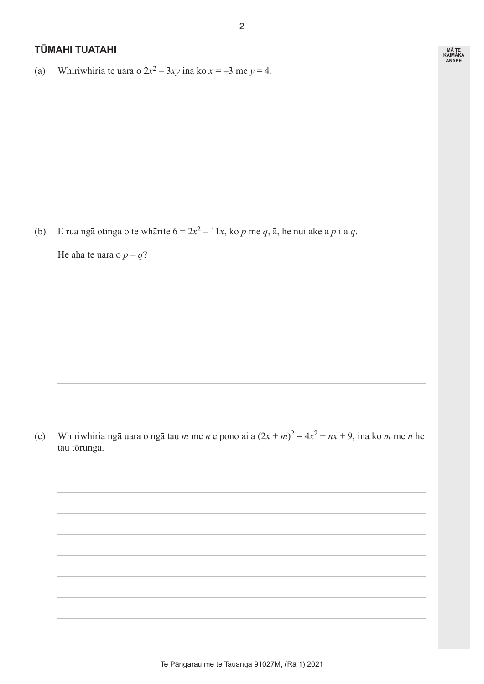#### **TŪMAHI TUATAHI**

(a) Whiriwhiria te uara o  $2x^2 - 3xy$  ina ko  $x = -3$  me  $y = 4$ .

(b) E rua ngā otinga o te whārite  $6 = 2x^2 - 11x$ , ko p me q, ā, he nui ake a p i a q.

He aha te uara o  $p - q$ ?

(c) Whiriwhiria ngā uara o ngā tau *m* me *n* e pono ai a  $(2x + m)^2 = 4x^2 + nx + 9$ , ina ko *m* me *n* he tau tōrunga.

**MĀ TE KAIMĀKA ANAKE**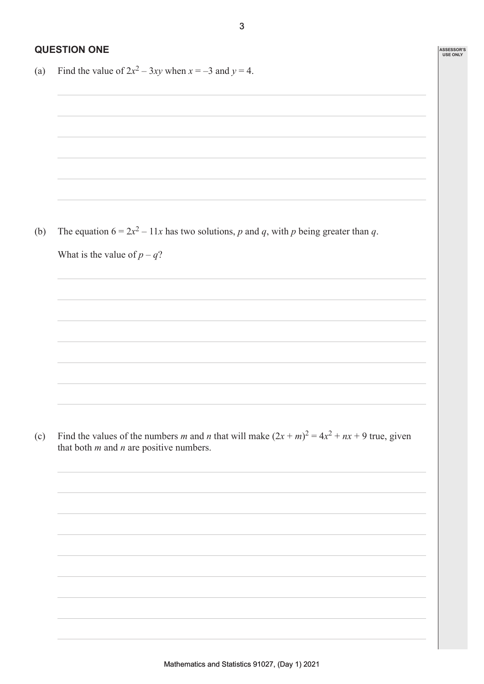**ASSESSOR'S USE ONLY**

### **QUESTION ONE**

(a) Find the value of  $2x^2 - 3xy$  when  $x = -3$  and  $y = 4$ .

(b) The equation  $6 = 2x^2 - 11x$  has two solutions, p and q, with p being greater than q.

What is the value of  $p - q$ ?

(c) Find the values of the numbers *m* and *n* that will make  $(2x + m)^2 = 4x^2 + nx + 9$  true, given that both *m* and *n* are positive numbers.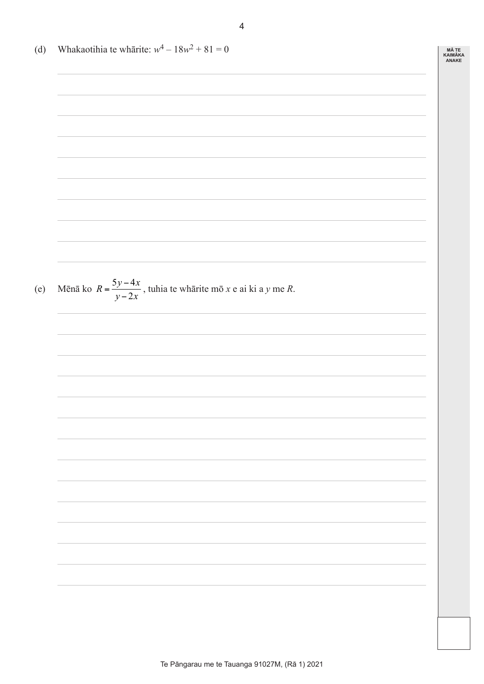Whakaotihia te whārite:  $w^4 - 18w^2 + 81 = 0$  $(d)$ **MÃ TE<br>KAIMÃKA<br>ANAKE** Mēnā ko  $R = \frac{5y - 4x}{y - 2x}$ , tuhia te whārite mō x e ai ki a y me R.  $(e)$ 

 $\overline{4}$ 

Te Pāngarau me te Tauanga 91027M, (Rā 1) 2021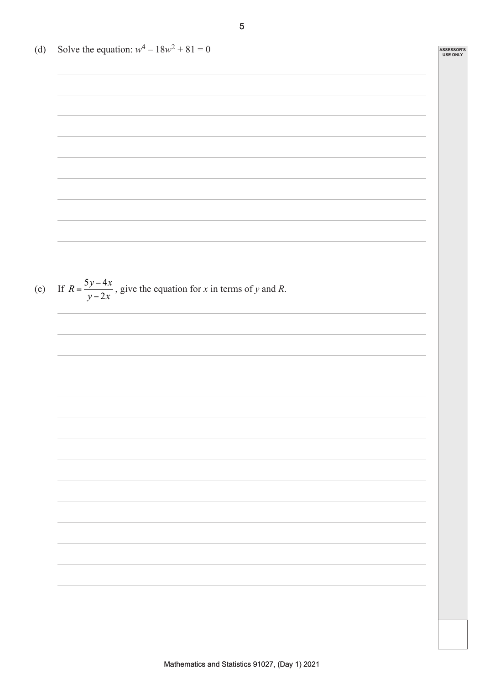(d) Solve the equation:  $w^4 - 18w^2 + 81 = 0$ (e) If  $R = \frac{5y - 4x}{2}$ *y* − 2*x* , give the equation for *x* in terms of *y* and *R*. **ASSESSOR'S USE ONLY**

Mathematics and Statistics 91027, (Day 1) 2021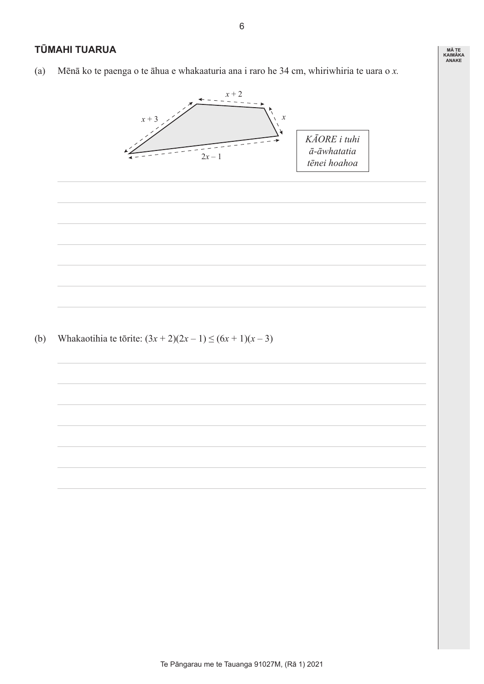**MÃ TE<br>KAIMÃKA<br>ANAKE** 

# **TÜMAHI TUARUA**

Mēnā ko te paenga o te āhua e whakaaturia ana i raro he 34 cm, whiriwhiria te uara o x.  $(a)$ 



Whakaotihia te tōrite:  $(3x + 2)(2x - 1) \le (6x + 1)(x - 3)$  $(b)$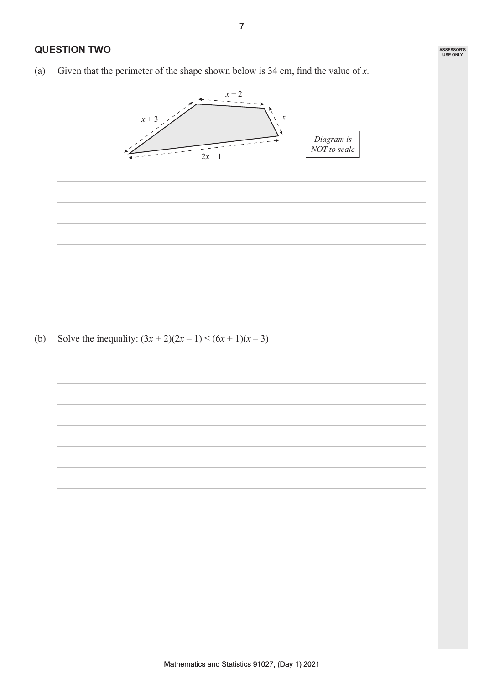**ASSESSOR'S USE ONLY**

## **QUESTION TWO**

(a) Given that the perimeter of the shape shown below is 34 cm, find the value of *x.*



(b) Solve the inequality:  $(3x + 2)(2x - 1) \le (6x + 1)(x - 3)$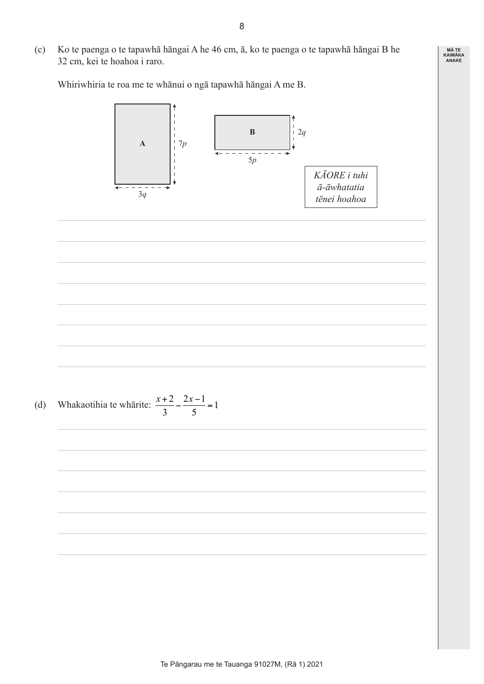- **MĀ TE KAIMĀKA ANAKE** (c) Ko te paenga o te tapawhā hāngai A he 46 cm, ā, ko te paenga o te tapawhā hāngai B he 32 cm, kei te hoahoa i raro. Whiriwhiria te roa me te whānui o ngā tapawhā hāngai A me B. **A B** 7*p*  $\frac{1}{5p}$  $\frac{1}{3q}$  $\frac{1}{2}$  $\overline{I}$   $\overline{I}$   $\overline{I}$ *NOT to scale ā-āwhatatia*  (d) Whakaotihia te whārite:  $\frac{x+2}{3} - \frac{2x-1}{5} = 1$ *KĀORE i tuhi tēnei hoahoa*
- 8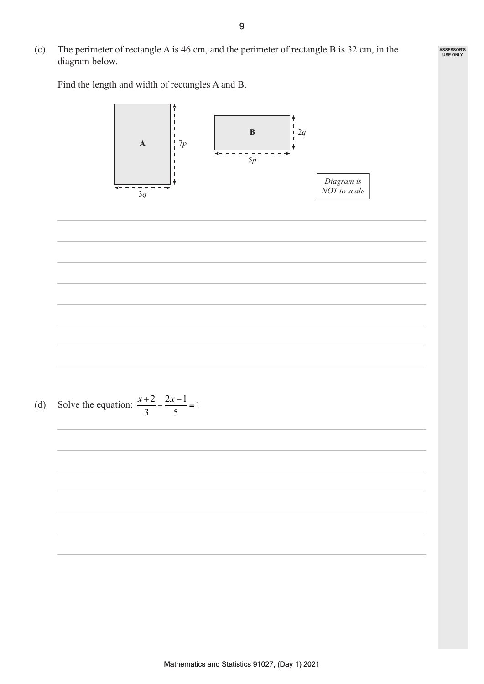- (c) The perimeter of rectangle A is 46 cm, and the perimeter of rectangle B is 32 cm, in the diagram below. Find the length and width of rectangles A and B. **A B** 7*p*  $\frac{1}{5p}$  $\frac{1}{3q}$  $\frac{1}{2}$  2q *Diagram is NOT to scale* (d) Solve the equation:  $\frac{x+2}{3} - \frac{2x-1}{5} = 1$ **ASSESSOR'S USE ONLY**
- 9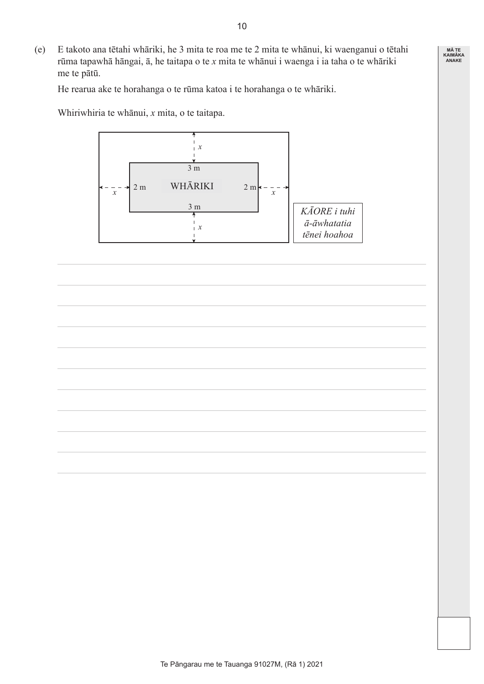(e) E takoto ana tētahi whāriki, he 3 mita te roa me te 2 mita te whānui, ki waenganui o tētahi **MĀ TE KAIMĀKA ANAKE** rūma tapawhā hāngai, ā, he taitapa o te *x* mita te whānui i waenga i ia taha o te whāriki me te pātū. He rearua ake te horahanga o te rūma katoa i te horahanga o te whāriki. Whiriwhiria te whānui, *x* mita, o te taitapa.  $\blacksquare$ *x* 3 m 2 m WHĀRIKI 2 m *x x* 3 m *KĀORE i tuhi*  7 *Diagram is NOT to scale ā-āwhatatia*   $\overline{1}$  $\int x$ *tēnei hoahoa*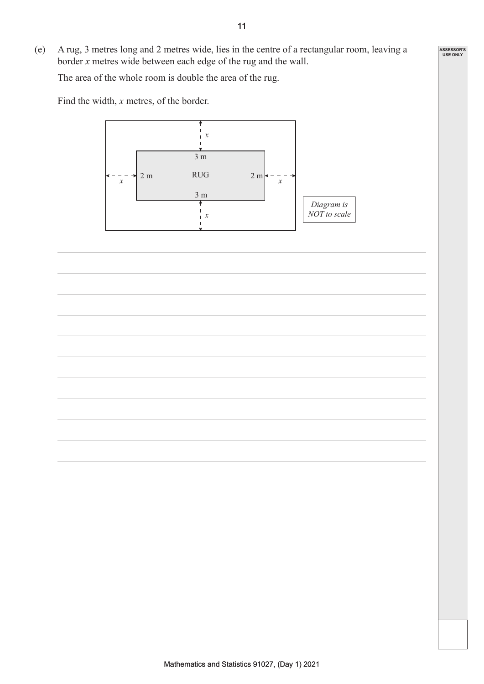(e) A rug, 3 metres long and 2 metres wide, lies in the centre of a rectangular room, leaving a border *x* metres wide between each edge of the rug and the wall.

The area of the whole room is double the area of the rug.

Find the width, *x* metres, of the border.



**ASSESSOR'S USE ONLY**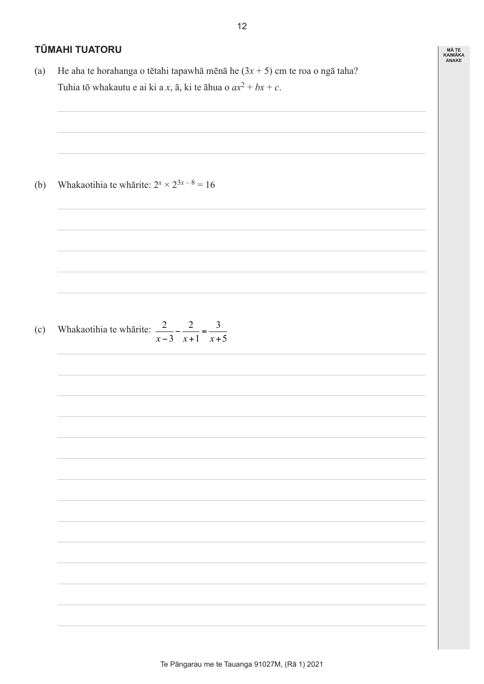## **TŪMAHI TUATORU**

(a) He aha te horahanga o tētahi tapawhā mēnā he (3*x* + 5) cm te roa o ngā taha? Tuhia tō whakautu e ai ki a x,  $\bar{a}$ , ki te  $\bar{a}$ hua o  $ax^2 + bx + c$ .

(b) Whakaotihia te whārite:  $2^x \times 2^{3x-8} = 16$ 

(c) Whakaotihia te whārite:  $\frac{2}{\pi}$ *x* −3  $-$  2 *x* +1  $=-\frac{3}{2}$ *x* +5

**MĀ TE KAIMĀKA ANAKE**

12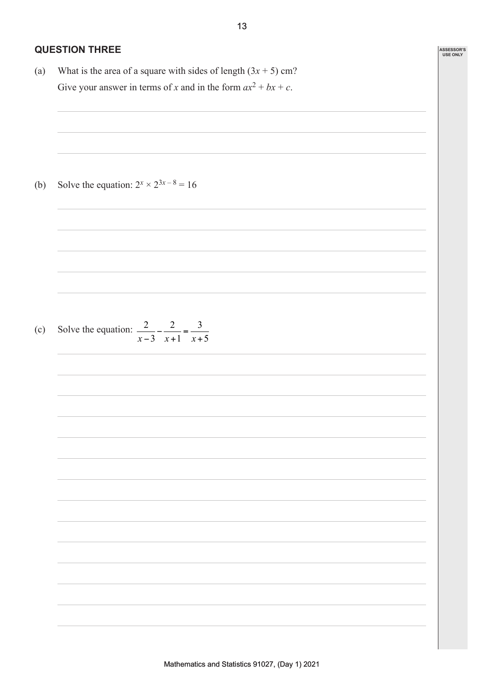### **QUESTION THREE**

(a) What is the area of a square with sides of length  $(3x + 5)$  cm? Give your answer in terms of x and in the form  $ax^2 + bx + c$ .

(b) Solve the equation:  $2^x \times 2^{3x-8} = 16$ 

(c) Solve the equation:  $\frac{2}{2}$ *x* −3  $-$  2 *x* +1  $=-\frac{3}{2}$ *x* +5 **ASSESSOR'S USE ONLY**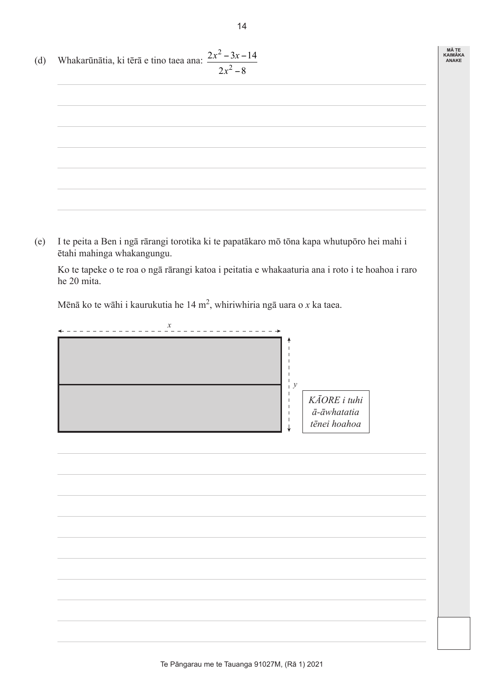| <b>MÄTE</b>    |
|----------------|
| <b>KAIMĀKA</b> |
| <b>ANAKE</b>   |

| (d) Whakarūnātia, ki tērā e tino taea ana: $2x^2 - 3x - 14$ |          |  |
|-------------------------------------------------------------|----------|--|
|                                                             | $2x^2-8$ |  |

(e) I te peita a Ben i ngā rārangi torotika ki te papatākaro mō tōna kapa whutupōro hei mahi i ētahi mahinga whakangungu.

Ko te tapeke o te roa o ngā rārangi katoa i peitatia e whakaaturia ana i roto i te hoahoa i raro he 20 mita.

Mēnā ko te wāhi i kaurukutia he 14 m2, whiriwhiria ngā uara o *x* ka taea.

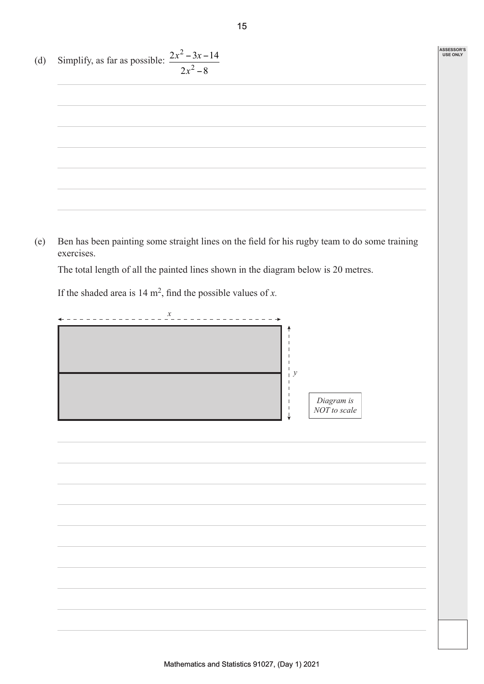|            | Simplify, as far as possible: $\frac{2x^2 - 3x - 14}{2x^2 - 8}$                               |                            |
|------------|-----------------------------------------------------------------------------------------------|----------------------------|
|            |                                                                                               |                            |
|            |                                                                                               |                            |
|            |                                                                                               |                            |
| exercises. | Ben has been painting some straight lines on the field for his rugby team to do some training |                            |
|            | The total length of all the painted lines shown in the diagram below is 20 metres.            |                            |
|            | If the shaded area is $14 \text{ m}^2$ , find the possible values of x.                       |                            |
|            |                                                                                               |                            |
|            |                                                                                               | Diagram is<br>NOT to scale |
|            |                                                                                               |                            |
|            |                                                                                               |                            |
|            |                                                                                               |                            |
|            |                                                                                               |                            |

15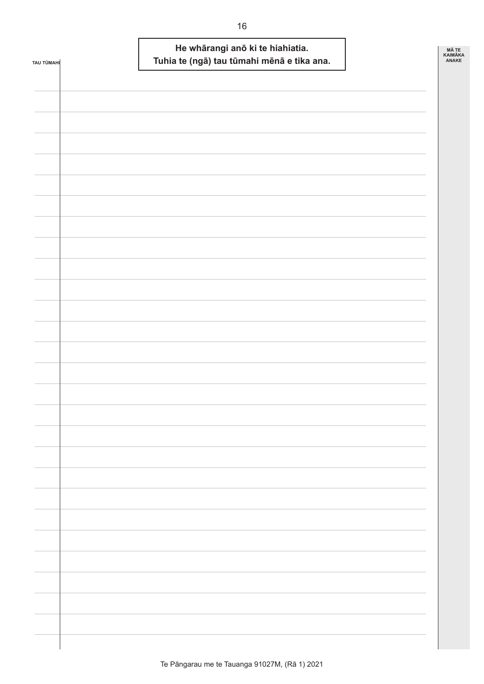| TAU TŪMAHI | He whārangi anō ki te hiahiatia.<br>Tuhia te (ngā) tau tūmahi mēnā e tika ana. | KAIMĀKA |
|------------|--------------------------------------------------------------------------------|---------|
|            |                                                                                |         |
|            |                                                                                |         |
|            |                                                                                |         |
|            |                                                                                |         |
|            |                                                                                |         |
|            |                                                                                |         |
|            |                                                                                |         |
|            |                                                                                |         |
|            |                                                                                |         |
|            |                                                                                |         |
|            |                                                                                |         |
|            |                                                                                |         |
|            |                                                                                |         |
|            |                                                                                |         |
|            |                                                                                |         |
|            |                                                                                |         |
|            |                                                                                |         |
|            |                                                                                |         |
|            |                                                                                |         |
|            |                                                                                |         |
|            |                                                                                |         |
|            |                                                                                |         |
|            |                                                                                |         |
|            |                                                                                |         |
|            |                                                                                |         |
|            |                                                                                |         |
|            |                                                                                |         |
|            |                                                                                |         |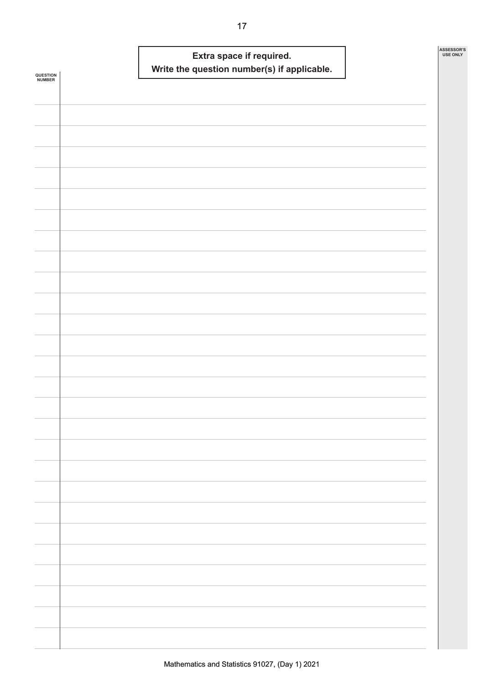| QUESTION<br>NUMBER | Extra space if required.<br>Write the question number(s) if applicable. | ASSESSOR'S<br>USE ONLY |
|--------------------|-------------------------------------------------------------------------|------------------------|
|                    |                                                                         |                        |
|                    |                                                                         |                        |
|                    |                                                                         |                        |
|                    |                                                                         |                        |
|                    |                                                                         |                        |
|                    |                                                                         |                        |
|                    |                                                                         |                        |
|                    |                                                                         |                        |
|                    |                                                                         |                        |
|                    |                                                                         |                        |
|                    |                                                                         |                        |
|                    |                                                                         |                        |
|                    |                                                                         |                        |
|                    |                                                                         |                        |